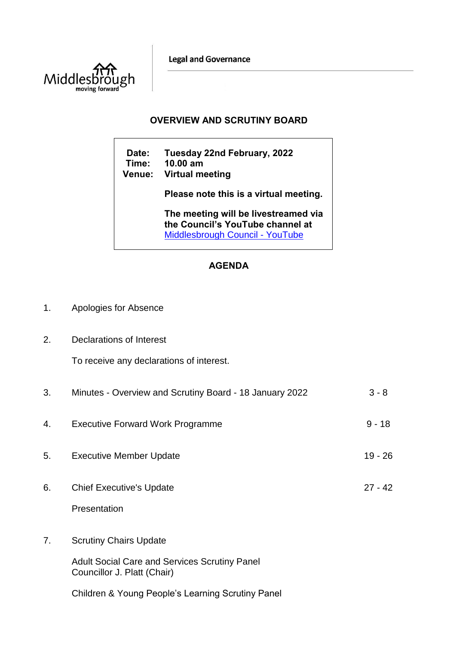**Legal and Governance** 



## **OVERVIEW AND SCRUTINY BOARD**

**Date: Tuesday 22nd February, 2022 Time: 10.00 am Venue: Virtual meeting Please note this is a virtual meeting. The meeting will be livestreamed via the Council's YouTube channel at**  [Middlesbrough Council -](https://www.youtube.com/user/middlesbroughcouncil) YouTube

## **AGENDA**

| 1. | Apologies for Absence |
|----|-----------------------|
|----|-----------------------|

2. Declarations of Interest

To receive any declarations of interest.

| 3. | Minutes - Overview and Scrutiny Board - 18 January 2022                                                              | $3 - 8$   |
|----|----------------------------------------------------------------------------------------------------------------------|-----------|
| 4. | <b>Executive Forward Work Programme</b>                                                                              | $9 - 18$  |
| 5. | <b>Executive Member Update</b>                                                                                       | $19 - 26$ |
| 6. | <b>Chief Executive's Update</b><br>Presentation                                                                      | $27 - 42$ |
| 7. | <b>Scrutiny Chairs Update</b><br><b>Adult Social Care and Services Scrutiny Panel</b><br>Councillor J. Platt (Chair) |           |
|    | <b>Children &amp; Young People's Learning Scrutiny Panel</b>                                                         |           |